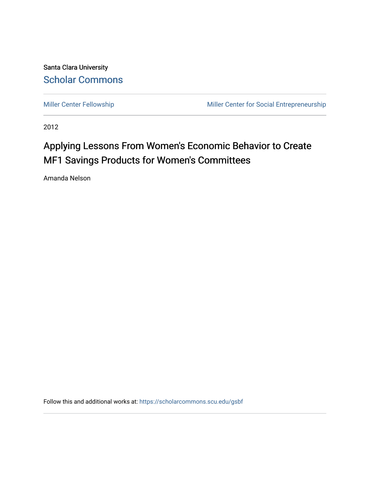Santa Clara University [Scholar Commons](https://scholarcommons.scu.edu/) 

[Miller Center Fellowship](https://scholarcommons.scu.edu/gsbf) Miller Center for Social Entrepreneurship

2012

# Applying Lessons From Women's Economic Behavior to Create MF1 Savings Products for Women's Committees

Amanda Nelson

Follow this and additional works at: [https://scholarcommons.scu.edu/gsbf](https://scholarcommons.scu.edu/gsbf?utm_source=scholarcommons.scu.edu%2Fgsbf%2F16&utm_medium=PDF&utm_campaign=PDFCoverPages)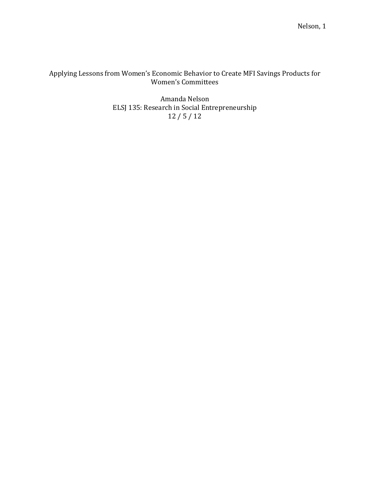# Applying Lessons from Women's Economic Behavior to Create MFI Savings Products for Women's Committees

Amanda Nelson ELSJ 135: Research in Social Entrepreneurship 12 / 5 / 12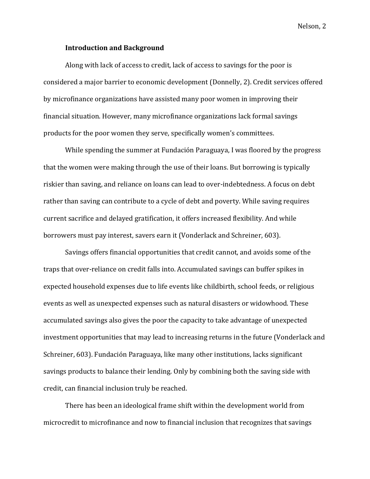## **Introduction and Background**

Along with lack of access to credit, lack of access to savings for the poor is considered a major barrier to economic development (Donnelly, 2). Credit services offered by microfinance organizations have assisted many poor women in improving their financial situation. However, many microfinance organizations lack formal savings products for the poor women they serve, specifically women's committees.

While spending the summer at Fundación Paraguaya, I was floored by the progress that the women were making through the use of their loans. But borrowing is typically riskier than saving, and reliance on loans can lead to over-indebtedness. A focus on debt rather than saving can contribute to a cycle of debt and poverty. While saving requires current sacrifice and delayed gratification, it offers increased flexibility. And while borrowers must pay interest, savers earn it (Vonderlack and Schreiner, 603).

Savings offers financial opportunities that credit cannot, and avoids some of the traps that over-reliance on credit falls into. Accumulated savings can buffer spikes in expected household expenses due to life events like childbirth, school feeds, or religious events as well as unexpected expenses such as natural disasters or widowhood. These accumulated savings also gives the poor the capacity to take advantage of unexpected investment opportunities that may lead to increasing returns in the future (Vonderlack and Schreiner, 603). Fundación Paraguaya, like many other institutions, lacks significant savings products to balance their lending. Only by combining both the saving side with credit, can financial inclusion truly be reached.

There has been an ideological frame shift within the development world from microcredit to microfinance and now to financial inclusion that recognizes that savings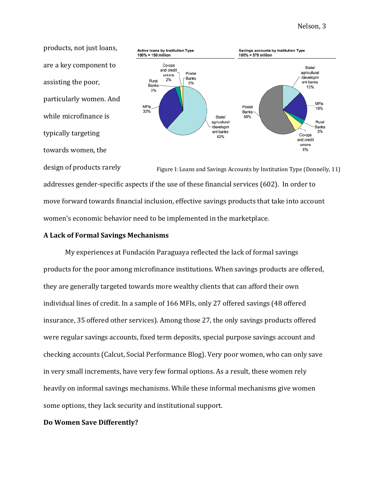products, not just loans, are a key component to assisting the poor, particularly women. And while microfinance is typically targeting towards women, the



Figure I: Loans and Savings Accounts by Institution Type (Donnelly, 11) design of products rarely addresses gender-specific aspects if the use of these financial services (602). In order to move forward towards financial inclusion, effective savings products that take into account women's economic behavior need to be implemented in the marketplace.

## **A Lack of Formal Savings Mechanisms**

My experiences at Fundación Paraguaya reflected the lack of formal savings products for the poor among microfinance institutions. When savings products are offered, they are generally targeted towards more wealthy clients that can afford their own individual lines of credit. In a sample of 166 MFIs, only 27 offered savings (48 offered insurance, 35 offered other services). Among those 27, the only savings products offered were regular savings accounts, fixed term deposits, special purpose savings account and checking accounts (Calcut, Social Performance Blog). Very poor women, who can only save in very small increments, have very few formal options. As a result, these women rely heavily on informal savings mechanisms. While these informal mechanisms give women some options, they lack security and institutional support.

## **Do Women Save Differently?**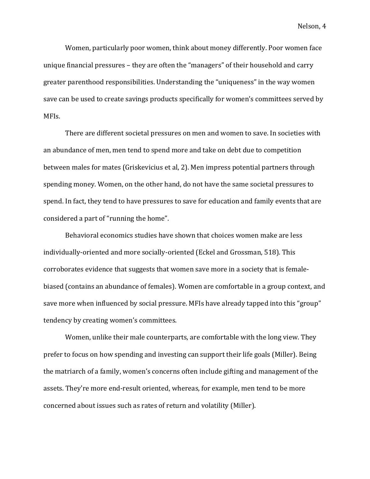Women, particularly poor women, think about money differently. Poor women face unique financial pressures – they are often the "managers" of their household and carry greater parenthood responsibilities. Understanding the "uniqueness" in the way women save can be used to create savings products specifically for women's committees served by MFIs.

There are different societal pressures on men and women to save. In societies with an abundance of men, men tend to spend more and take on debt due to competition between males for mates (Griskevicius et al, 2). Men impress potential partners through spending money. Women, on the other hand, do not have the same societal pressures to spend. In fact, they tend to have pressures to save for education and family events that are considered a part of "running the home".

Behavioral economics studies have shown that choices women make are less individually-oriented and more socially-oriented (Eckel and Grossman, 518). This corroborates evidence that suggests that women save more in a society that is femalebiased (contains an abundance of females). Women are comfortable in a group context, and save more when influenced by social pressure. MFIs have already tapped into this "group" tendency by creating women's committees.

Women, unlike their male counterparts, are comfortable with the long view. They prefer to focus on how spending and investing can support their life goals (Miller). Being the matriarch of a family, women's concerns often include gifting and management of the assets. They're more end-result oriented, whereas, for example, men tend to be more concerned about issues such as rates of return and volatility (Miller).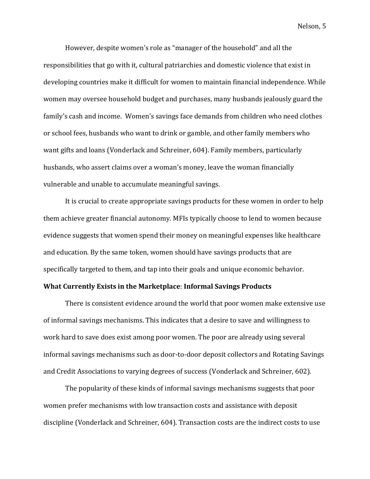However, despite women's role as "manager of the household" and all the responsibilities that go with it, cultural patriarchies and domestic violence that exist in developing countries make it difficult for women to maintain financial independence. While women may oversee household budget and purchases, many husbands jealously guard the family's cash and income. Women's savings face demands from children who need clothes or school fees, husbands who want to drink or gamble, and other family members who want gifts and loans (Vonderlack and Schreiner, 604). Family members, particularly husbands, who assert claims over a woman's money, leave the woman financially vulnerable and unable to accumulate meaningful savings.

It is crucial to create appropriate savings products for these women in order to help them achieve greater financial autonomy. MFIs typically choose to lend to women because evidence suggests that women spend their money on meaningful expenses like healthcare and education. By the same token, women should have savings products that are specifically targeted to them, and tap into their goals and unique economic behavior.

# **What Currently Exists in the Marketplace**: **Informal Savings Products**

There is consistent evidence around the world that poor women make extensive use of informal savings mechanisms. This indicates that a desire to save and willingness to work hard to save does exist among poor women. The poor are already using several informal savings mechanisms such as door-to-door deposit collectors and Rotating Savings and Credit Associations to varying degrees of success (Vonderlack and Schreiner, 602).

The popularity of these kinds of informal savings mechanisms suggests that poor women prefer mechanisms with low transaction costs and assistance with deposit discipline (Vonderlack and Schreiner, 604). Transaction costs are the indirect costs to use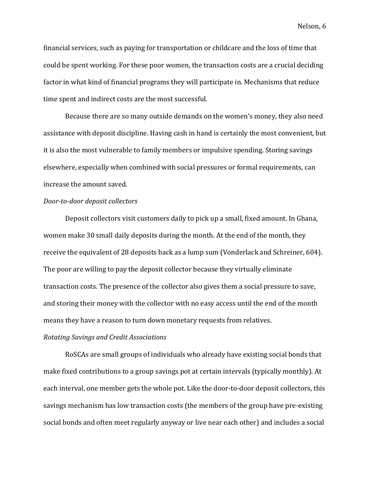financial services, such as paying for transportation or childcare and the loss of time that could be spent working. For these poor women, the transaction costs are a crucial deciding factor in what kind of financial programs they will participate in. Mechanisms that reduce time spent and indirect costs are the most successful.

Because there are so many outside demands on the women's money, they also need assistance with deposit discipline. Having cash in hand is certainly the most convenient, but it is also the most vulnerable to family members or impulsive spending. Storing savings elsewhere, especially when combined with social pressures or formal requirements, can increase the amount saved.

### *Door-to-door deposit collectors*

Deposit collectors visit customers daily to pick up a small, fixed amount. In Ghana, women make 30 small daily deposits during the month. At the end of the month, they receive the equivalent of 28 deposits back as a lump sum (Vonderlack and Schreiner, 604). The poor are willing to pay the deposit collector because they virtually eliminate transaction costs. The presence of the collector also gives them a social pressure to save, and storing their money with the collector with no easy access until the end of the month means they have a reason to turn down monetary requests from relatives.

# *Rotating Savings and Credit Associations*

RoSCAs are small groups of individuals who already have existing social bonds that make fixed contributions to a group savings pot at certain intervals (typically monthly). At each interval, one member gets the whole pot. Like the door-to-door deposit collectors, this savings mechanism has low transaction costs (the members of the group have pre-existing social bonds and often meet regularly anyway or live near each other) and includes a social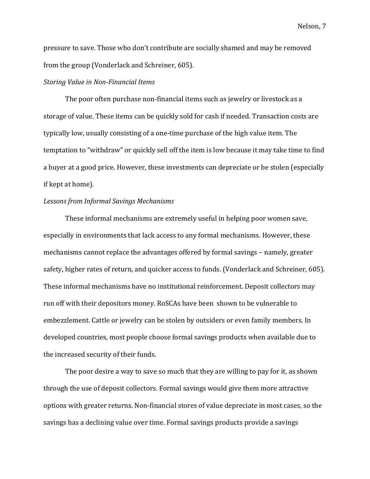pressure to save. Those who don't contribute are socially shamed and may be removed from the group (Vonderlack and Schreiner, 605).

#### *Storing Value in Non-Financial Items*

The poor often purchase non-financial items such as jewelry or livestock as a storage of value. These items can be quickly sold for cash if needed. Transaction costs are typically low, usually consisting of a one-time purchase of the high value item. The temptation to "withdraw" or quickly sell off the item is low because it may take time to find a buyer at a good price. However, these investments can depreciate or be stolen (especially if kept at home).

## *Lessons from Informal Savings Mechanisms*

These informal mechanisms are extremely useful in helping poor women save, especially in environments that lack access to any formal mechanisms. However, these mechanisms cannot replace the advantages offered by formal savings – namely, greater safety, higher rates of return, and quicker access to funds. (Vonderlack and Schreiner, 605). These informal mechanisms have no institutional reinforcement. Deposit collectors may run off with their depositors money. RoSCAs have been shown to be vulnerable to embezzlement. Cattle or jewelry can be stolen by outsiders or even family members. In developed countries, most people choose formal savings products when available due to the increased security of their funds.

The poor desire a way to save so much that they are willing to pay for it, as shown through the use of deposit collectors. Formal savings would give them more attractive options with greater returns. Non-financial stores of value depreciate in most cases, so the savings has a declining value over time. Formal savings products provide a savings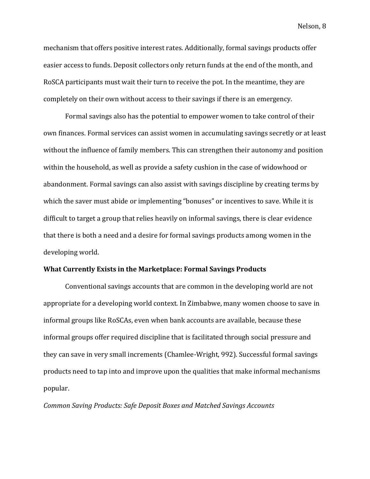mechanism that offers positive interest rates. Additionally, formal savings products offer easier access to funds. Deposit collectors only return funds at the end of the month, and RoSCA participants must wait their turn to receive the pot. In the meantime, they are completely on their own without access to their savings if there is an emergency.

Formal savings also has the potential to empower women to take control of their own finances. Formal services can assist women in accumulating savings secretly or at least without the influence of family members. This can strengthen their autonomy and position within the household, as well as provide a safety cushion in the case of widowhood or abandonment. Formal savings can also assist with savings discipline by creating terms by which the saver must abide or implementing "bonuses" or incentives to save. While it is difficult to target a group that relies heavily on informal savings, there is clear evidence that there is both a need and a desire for formal savings products among women in the developing world.

# **What Currently Exists in the Marketplace: Formal Savings Products**

Conventional savings accounts that are common in the developing world are not appropriate for a developing world context. In Zimbabwe, many women choose to save in informal groups like RoSCAs, even when bank accounts are available, because these informal groups offer required discipline that is facilitated through social pressure and they can save in very small increments (Chamlee-Wright, 992). Successful formal savings products need to tap into and improve upon the qualities that make informal mechanisms popular.

*Common Saving Products: Safe Deposit Boxes and Matched Savings Accounts*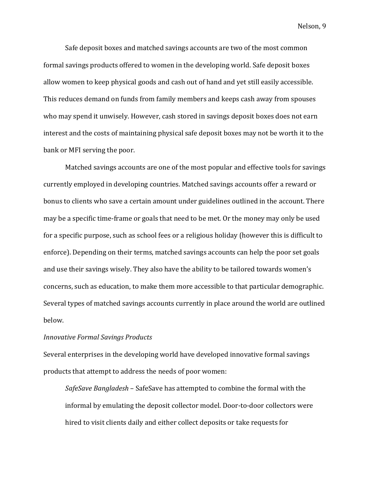Safe deposit boxes and matched savings accounts are two of the most common formal savings products offered to women in the developing world. Safe deposit boxes allow women to keep physical goods and cash out of hand and yet still easily accessible. This reduces demand on funds from family members and keeps cash away from spouses who may spend it unwisely. However, cash stored in savings deposit boxes does not earn interest and the costs of maintaining physical safe deposit boxes may not be worth it to the bank or MFI serving the poor.

Matched savings accounts are one of the most popular and effective tools for savings currently employed in developing countries. Matched savings accounts offer a reward or bonus to clients who save a certain amount under guidelines outlined in the account. There may be a specific time-frame or goals that need to be met. Or the money may only be used for a specific purpose, such as school fees or a religious holiday (however this is difficult to enforce). Depending on their terms, matched savings accounts can help the poor set goals and use their savings wisely. They also have the ability to be tailored towards women's concerns, such as education, to make them more accessible to that particular demographic. Several types of matched savings accounts currently in place around the world are outlined below.

## *Innovative Formal Savings Products*

Several enterprises in the developing world have developed innovative formal savings products that attempt to address the needs of poor women:

*SafeSave Bangladesh* – SafeSave has attempted to combine the formal with the informal by emulating the deposit collector model. Door-to-door collectors were hired to visit clients daily and either collect deposits or take requests for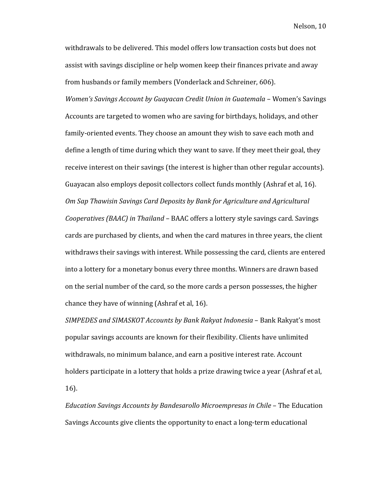withdrawals to be delivered. This model offers low transaction costs but does not assist with savings discipline or help women keep their finances private and away from husbands or family members (Vonderlack and Schreiner, 606).

*Women's Savings Account by Guayacan Credit Union in Guatemala* – Women's Savings Accounts are targeted to women who are saving for birthdays, holidays, and other family-oriented events. They choose an amount they wish to save each moth and define a length of time during which they want to save. If they meet their goal, they receive interest on their savings (the interest is higher than other regular accounts). Guayacan also employs deposit collectors collect funds monthly (Ashraf et al, 16). *Om Sap Thawisin Savings Card Deposits by Bank for Agriculture and Agricultural Cooperatives (BAAC) in Thailand* – BAAC offers a lottery style savings card. Savings cards are purchased by clients, and when the card matures in three years, the client withdraws their savings with interest. While possessing the card, clients are entered into a lottery for a monetary bonus every three months. Winners are drawn based on the serial number of the card, so the more cards a person possesses, the higher chance they have of winning (Ashraf et al, 16).

*SIMPEDES and SIMASKOT Accounts by Bank Rakyat Indonesia* – Bank Rakyat's most popular savings accounts are known for their flexibility. Clients have unlimited withdrawals, no minimum balance, and earn a positive interest rate. Account holders participate in a lottery that holds a prize drawing twice a year (Ashraf et al, 16).

*Education Savings Accounts by Bandesarollo Microempresas in Chile* – The Education Savings Accounts give clients the opportunity to enact a long-term educational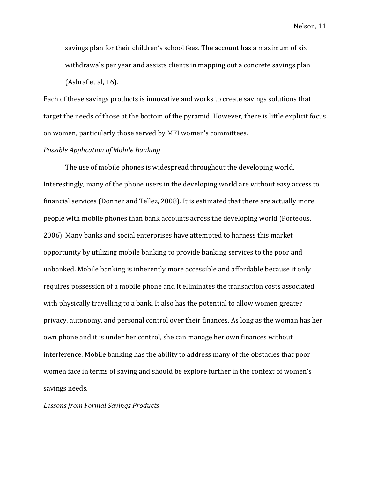savings plan for their children's school fees. The account has a maximum of six withdrawals per year and assists clients in mapping out a concrete savings plan (Ashraf et al, 16).

Each of these savings products is innovative and works to create savings solutions that target the needs of those at the bottom of the pyramid. However, there is little explicit focus on women, particularly those served by MFI women's committees.

## *Possible Application of Mobile Banking*

The use of mobile phones is widespread throughout the developing world. Interestingly, many of the phone users in the developing world are without easy access to financial services (Donner and Tellez, 2008). It is estimated that there are actually more people with mobile phones than bank accounts across the developing world (Porteous, 2006). Many banks and social enterprises have attempted to harness this market opportunity by utilizing mobile banking to provide banking services to the poor and unbanked. Mobile banking is inherently more accessible and affordable because it only requires possession of a mobile phone and it eliminates the transaction costs associated with physically travelling to a bank. It also has the potential to allow women greater privacy, autonomy, and personal control over their finances. As long as the woman has her own phone and it is under her control, she can manage her own finances without interference. Mobile banking has the ability to address many of the obstacles that poor women face in terms of saving and should be explore further in the context of women's savings needs.

#### *Lessons from Formal Savings Products*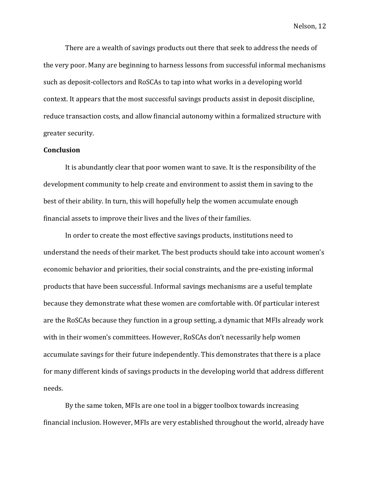There are a wealth of savings products out there that seek to address the needs of the very poor. Many are beginning to harness lessons from successful informal mechanisms such as deposit-collectors and RoSCAs to tap into what works in a developing world context. It appears that the most successful savings products assist in deposit discipline, reduce transaction costs, and allow financial autonomy within a formalized structure with greater security.

## **Conclusion**

It is abundantly clear that poor women want to save. It is the responsibility of the development community to help create and environment to assist them in saving to the best of their ability. In turn, this will hopefully help the women accumulate enough financial assets to improve their lives and the lives of their families.

In order to create the most effective savings products, institutions need to understand the needs of their market. The best products should take into account women's economic behavior and priorities, their social constraints, and the pre-existing informal products that have been successful. Informal savings mechanisms are a useful template because they demonstrate what these women are comfortable with. Of particular interest are the RoSCAs because they function in a group setting, a dynamic that MFIs already work with in their women's committees. However, RoSCAs don't necessarily help women accumulate savings for their future independently. This demonstrates that there is a place for many different kinds of savings products in the developing world that address different needs.

By the same token, MFIs are one tool in a bigger toolbox towards increasing financial inclusion. However, MFIs are very established throughout the world, already have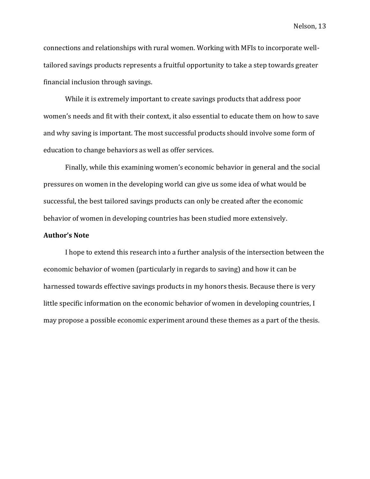connections and relationships with rural women. Working with MFIs to incorporate welltailored savings products represents a fruitful opportunity to take a step towards greater financial inclusion through savings.

While it is extremely important to create savings products that address poor women's needs and fit with their context, it also essential to educate them on how to save and why saving is important. The most successful products should involve some form of education to change behaviors as well as offer services.

Finally, while this examining women's economic behavior in general and the social pressures on women in the developing world can give us some idea of what would be successful, the best tailored savings products can only be created after the economic behavior of women in developing countries has been studied more extensively.

#### **Author's Note**

I hope to extend this research into a further analysis of the intersection between the economic behavior of women (particularly in regards to saving) and how it can be harnessed towards effective savings products in my honors thesis. Because there is very little specific information on the economic behavior of women in developing countries, I may propose a possible economic experiment around these themes as a part of the thesis.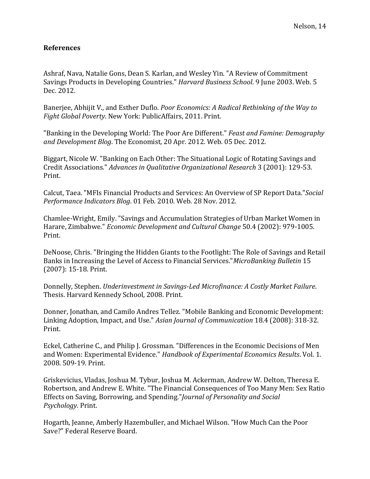# **References**

Ashraf, Nava, Natalie Gons, Dean S. Karlan, and Wesley Yin. "A Review of Commitment Savings Products in Developing Countries." *Harvard Business School*. 9 June 2003. Web. 5 Dec. 2012.

Banerjee, Abhijit V., and Esther Duflo. *Poor Economics: A Radical Rethinking of the Way to Fight Global Poverty*. New York: PublicAffairs, 2011. Print.

"Banking in the Developing World: The Poor Are Different." *Feast and Famine: Demography and Development Blog*. The Economist, 20 Apr. 2012. Web. 05 Dec. 2012.

Biggart, Nicole W. "Banking on Each Other: The Situational Logic of Rotating Savings and Credit Associations." *Advances in Qualitative Organizational Research* 3 (2001): 129-53. Print.

Calcut, Taea. "MFIs Financial Products and Services: An Overview of SP Report Data."*Social Performance Indicators Blog*. 01 Feb. 2010. Web. 28 Nov. 2012.

Chamlee-Wright, Emily. "Savings and Accumulation Strategies of Urban Market Women in Harare, Zimbabwe." *Economic Development and Cultural Change* 50.4 (2002): 979-1005. Print.

DeNoose, Chris. "Bringing the Hidden Giants to the Footlight: The Role of Savings and Retail Banks in Increasing the Level of Access to Financial Services."*MicroBanking Bulletin* 15 (2007): 15-18. Print.

Donnelly, Stephen. *Underinvestment in Savings-Led Microfinance: A Costly Market Failure*. Thesis. Harvard Kennedy School, 2008. Print.

Donner, Jonathan, and Camilo Andres Tellez. "Mobile Banking and Economic Development: Linking Adoption, Impact, and Use." *Asian Journal of Communication* 18.4 (2008): 318-32. Print.

Eckel, Catherine C., and Philip J. Grossman. "Differences in the Economic Decisions of Men and Women: Experimental Evidence." *Handbook of Experimental Economics Results*. Vol. 1. 2008. 509-19. Print.

Griskevicius, Vladas, Joshua M. Tybur, Joshua M. Ackerman, Andrew W. Delton, Theresa E. Robertson, and Andrew E. White. "The Financial Consequences of Too Many Men: Sex Ratio Effects on Saving, Borrowing, and Spending."*Journal of Personality and Social Psychology.* Print.

Hogarth, Jeanne, Amberly Hazembuller, and Michael Wilson. "How Much Can the Poor Save?" Federal Reserve Board.